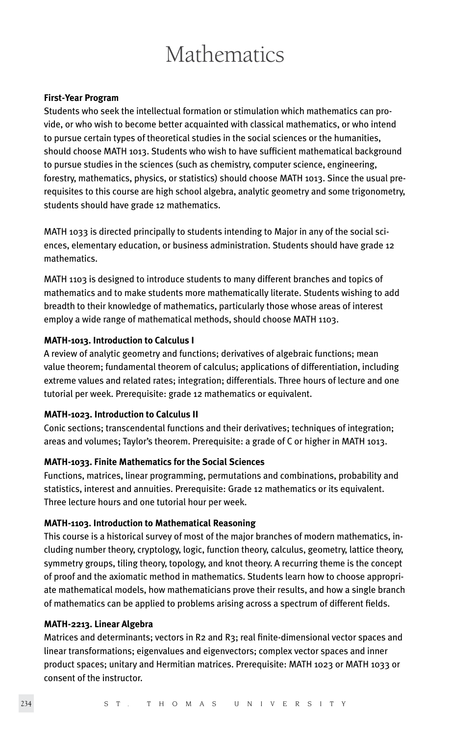# **Mathematics**

#### **First-Year Program**

Students who seek the intellectual formation or stimulation which mathematics can provide, or who wish to become better acquainted with classical mathematics, or who intend to pursue certain types of theoretical studies in the social sciences or the humanities, should choose MATH 1013. Students who wish to have sufficient mathematical background to pursue studies in the sciences (such as chemistry, computer science, engineering, forestry, mathematics, physics, or statistics) should choose MATH 1013. Since the usual prerequisites to this course are high school algebra, analytic geometry and some trigonometry, students should have grade 12 mathematics.

MATH 1033 is directed principally to students intending to Major in any of the social sciences, elementary education, or business administration. Students should have grade 12 mathematics.

MATH 1103 is designed to introduce students to many different branches and topics of mathematics and to make students more mathematically literate. Students wishing to add breadth to their knowledge of mathematics, particularly those whose areas of interest employ a wide range of mathematical methods, should choose MATH 1103.

#### **MATH-1013. Introduction to Calculus I**

A review of analytic geometry and functions; derivatives of algebraic functions; mean value theorem; fundamental theorem of calculus; applications of differentiation, including extreme values and related rates; integration; differentials. Three hours of lecture and one tutorial per week. Prerequisite: grade 12 mathematics or equivalent.

#### **MATH-1023. Introduction to Calculus II**

Conic sections; transcendental functions and their derivatives; techniques of integration; areas and volumes; Taylor's theorem. Prerequisite: a grade of C or higher in MATH 1013.

# **MATH-1033. Finite Mathematics for the Social Sciences**

Functions, matrices, linear programming, permutations and combinations, probability and statistics, interest and annuities. Prerequisite: Grade 12 mathematics or its equivalent. Three lecture hours and one tutorial hour per week.

#### **MATH-1103. Introduction to Mathematical Reasoning**

This course is a historical survey of most of the major branches of modern mathematics, including number theory, cryptology, logic, function theory, calculus, geometry, lattice theory, symmetry groups, tiling theory, topology, and knot theory. A recurring theme is the concept of proof and the axiomatic method in mathematics. Students learn how to choose appropriate mathematical models, how mathematicians prove their results, and how a single branch of mathematics can be applied to problems arising across a spectrum of different fields.

#### **MATH-2213. Linear Algebra**

Matrices and determinants; vectors in R2 and R3; real finite-dimensional vector spaces and linear transformations; eigenvalues and eigenvectors; complex vector spaces and inner product spaces; unitary and Hermitian matrices. Prerequisite: MATH 1023 or MATH 1033 or consent of the instructor.